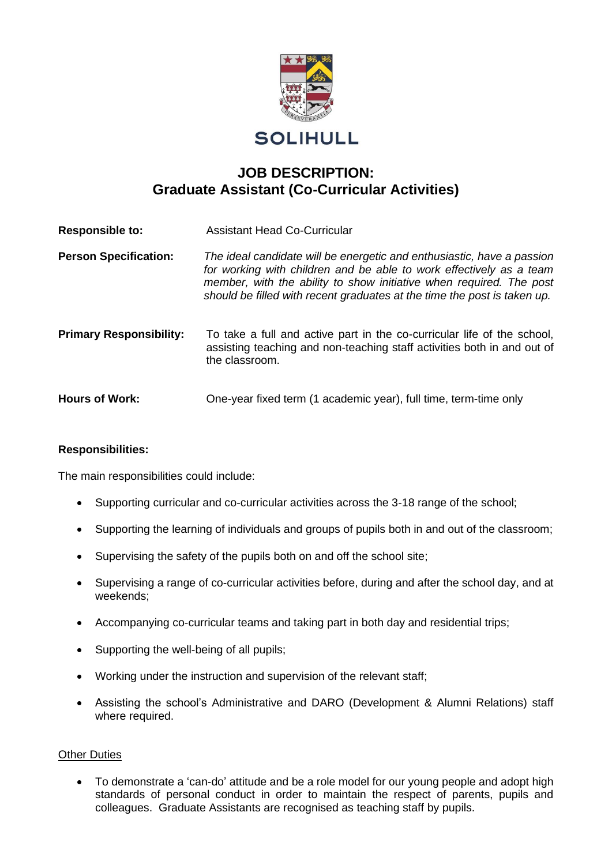

# **SOLIHULL**

# **JOB DESCRIPTION: Graduate Assistant (Co-Curricular Activities)**

| <b>Responsible to:</b>         | <b>Assistant Head Co-Curricular</b>                                                                                                                                                                                                                                                              |
|--------------------------------|--------------------------------------------------------------------------------------------------------------------------------------------------------------------------------------------------------------------------------------------------------------------------------------------------|
| <b>Person Specification:</b>   | The ideal candidate will be energetic and enthusiastic, have a passion<br>for working with children and be able to work effectively as a team<br>member, with the ability to show initiative when required. The post<br>should be filled with recent graduates at the time the post is taken up. |
| <b>Primary Responsibility:</b> | To take a full and active part in the co-curricular life of the school,<br>assisting teaching and non-teaching staff activities both in and out of<br>the classroom.                                                                                                                             |
| <b>Hours of Work:</b>          | One-year fixed term (1 academic year), full time, term-time only                                                                                                                                                                                                                                 |

#### **Responsibilities:**

The main responsibilities could include:

- Supporting curricular and co-curricular activities across the 3-18 range of the school;
- Supporting the learning of individuals and groups of pupils both in and out of the classroom;
- Supervising the safety of the pupils both on and off the school site;
- Supervising a range of co-curricular activities before, during and after the school day, and at weekends;
- Accompanying co-curricular teams and taking part in both day and residential trips;
- Supporting the well-being of all pupils:
- Working under the instruction and supervision of the relevant staff;
- Assisting the school's Administrative and DARO (Development & Alumni Relations) staff where required.

#### Other Duties

• To demonstrate a 'can-do' attitude and be a role model for our young people and adopt high standards of personal conduct in order to maintain the respect of parents, pupils and colleagues. Graduate Assistants are recognised as teaching staff by pupils.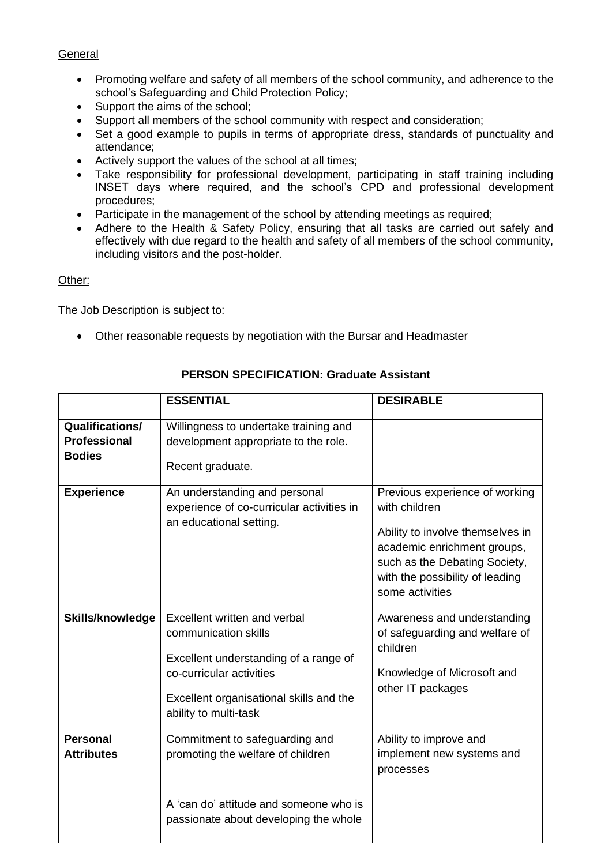## General

- Promoting welfare and safety of all members of the school community, and adherence to the school's Safeguarding and Child Protection Policy;
- Support the aims of the school;
- Support all members of the school community with respect and consideration;
- Set a good example to pupils in terms of appropriate dress, standards of punctuality and attendance;
- Actively support the values of the school at all times;
- Take responsibility for professional development, participating in staff training including INSET days where required, and the school's CPD and professional development procedures;
- Participate in the management of the school by attending meetings as required;
- Adhere to the Health & Safety Policy, ensuring that all tasks are carried out safely and effectively with due regard to the health and safety of all members of the school community, including visitors and the post-holder.

## Other:

The Job Description is subject to:

• Other reasonable requests by negotiation with the Bursar and Headmaster

|                                                         | <b>ESSENTIAL</b>                                                                                                                                                                              | <b>DESIRABLE</b>                                                                                                                                                                                          |
|---------------------------------------------------------|-----------------------------------------------------------------------------------------------------------------------------------------------------------------------------------------------|-----------------------------------------------------------------------------------------------------------------------------------------------------------------------------------------------------------|
| Qualifications/<br><b>Professional</b><br><b>Bodies</b> | Willingness to undertake training and<br>development appropriate to the role.<br>Recent graduate.                                                                                             |                                                                                                                                                                                                           |
| <b>Experience</b>                                       | An understanding and personal<br>experience of co-curricular activities in<br>an educational setting.                                                                                         | Previous experience of working<br>with children<br>Ability to involve themselves in<br>academic enrichment groups,<br>such as the Debating Society,<br>with the possibility of leading<br>some activities |
| Skills/knowledge                                        | Excellent written and verbal<br>communication skills<br>Excellent understanding of a range of<br>co-curricular activities<br>Excellent organisational skills and the<br>ability to multi-task | Awareness and understanding<br>of safeguarding and welfare of<br>children<br>Knowledge of Microsoft and<br>other IT packages                                                                              |
| <b>Personal</b><br><b>Attributes</b>                    | Commitment to safeguarding and<br>promoting the welfare of children<br>A 'can do' attitude and someone who is<br>passionate about developing the whole                                        | Ability to improve and<br>implement new systems and<br>processes                                                                                                                                          |

# **PERSON SPECIFICATION: Graduate Assistant**